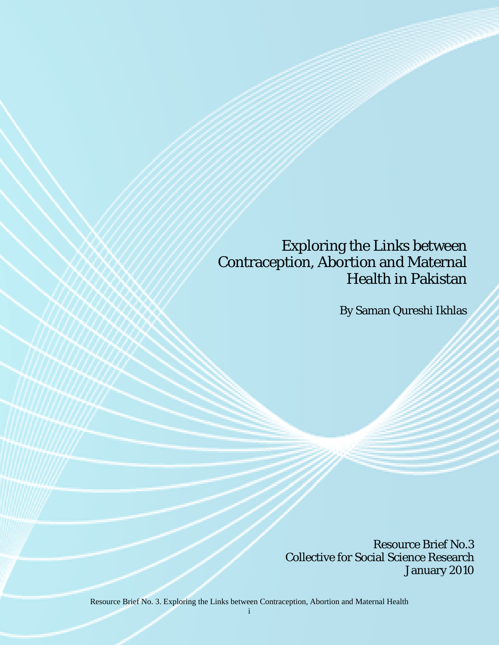# Exploring the Links between Contraception, Abortion and Maternal Health in Pakistan

By Saman Qureshi Ikhlas

Resource Brief No.3 Collective for Social Science Research January 2010

Resource Brief No. 3. Exploring the Links between Contraception, Abortion and Maternal Health

i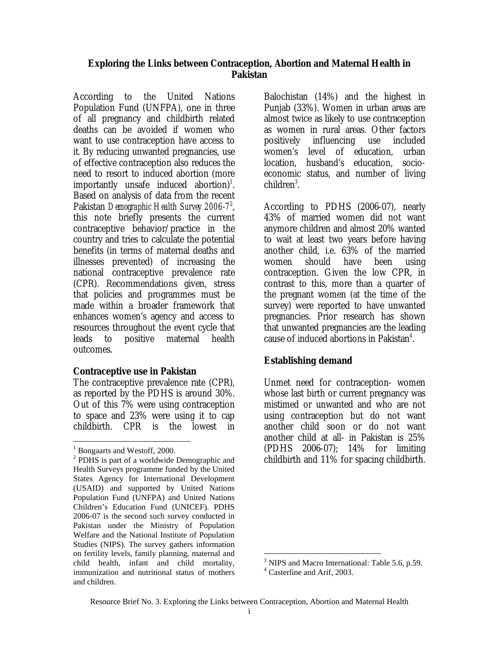## **Exploring the Links between Contraception, Abortion and Maternal Health in Pakistan**

According to the United Nations Population Fund (UNFPA), one in three of all pregnancy and childbirth related deaths can be avoided if women who want to use contraception have access to it. By reducing unwanted pregnancies, use of effective contraception also reduces the need to resort to induced abortion (more importantly unsafe induced abortion)<sup>1</sup>. Based on analysis of data from the recent Pakistan *Demographic Health Survey [2](#page-1-1)006-7<sup>9</sup>*, this note briefly presents the current contraceptive behavior/practice in the country and tries to calculate the potential benefits (in terms of maternal deaths and illnesses prevented) of increasing the national contraceptive prevalence rate (CPR). Recommendations given, stress that policies and programmes must be made within a broader framework that enhances women's agency and access to resources throughout the event cycle that leads to positive maternal health outcomes.

### **Contraceptive use in Pakistan**

The contraceptive prevalence rate (CPR), as reported by the PDHS is around 30%. Out of this 7% were using contraception to space and 23% were using it to cap childbirth. CPR is the lowest in

 $\overline{a}$ 

Balochistan (14%) and the highest in Punjab (33%). Women in urban areas are almost twice as likely to use contraception as women in rural areas. Other factors positively influencing use included women's level of education, urban location, husband's education, socioeconomic status, and number of living children<sup>[3](#page-1-2)</sup>.

According to PDHS (2006-07), nearly 43% of married women did not want anymore children and almost 20% wanted to wait at least two years before having another child, i.e. 63% of the married women should have been using contraception. Given the low CPR, in contrast to this, more than a quarter of the pregnant women (at the time of the survey) were reported to have unwanted pregnancies. Prior research has shown that unwanted pregnancies are the leading cause of induced abortions in Pakistan<sup>[4](#page-1-3)</sup>.

# **Establishing demand**

Unmet need for contraception- women whose last birth or current pregnancy was mistimed or unwanted and who are not using contraception but do not want another child soon or do not want another child at all- in Pakistan is 25% (PDHS 2006-07); 14% for limiting childbirth and 11% for spacing childbirth.

1

<span id="page-1-0"></span><sup>&</sup>lt;sup>1</sup> Bongaarts and Westoff, 2000.<br><sup>2</sup> PDHS is part of a worldwide.

<span id="page-1-1"></span> $2$  PDHS is part of a worldwide Demographic and Health Surveys programme funded by the United States Agency for International Development (USAID) and supported by United Nations Population Fund (UNFPA) and United Nations Children's Education Fund (UNICEF). PDHS 2006-07 is the second such survey conducted in Pakistan under the Ministry of Population Welfare and the National Institute of Population Studies (NIPS). The survey gathers information on fertility levels, family planning, maternal and child health, infant and child mortality, immunization and nutritional status of mothers and children.

<span id="page-1-2"></span><sup>&</sup>lt;sup>3</sup> NIPS and Macro International: Table 5.6, p.59.

<span id="page-1-3"></span>Casterline and Arif, 2003.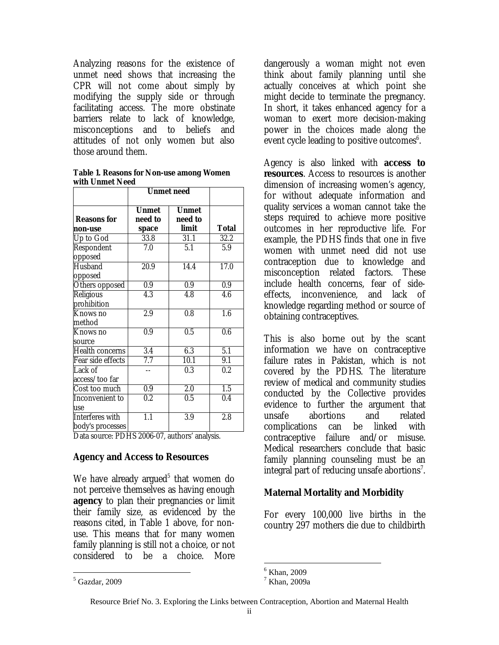Analyzing reasons for the existence of unmet need shows that increasing the CPR will not come about simply by modifying the supply side or through facilitating access. The more obstinate barriers relate to lack of knowledge, misconceptions and to beliefs and attitudes of not only women but also those around them.

**Table 1. Reasons for Non-use among Women with Unmet Need** 

|                                     | <b>Unmet need</b>                |                                  |                  |  |
|-------------------------------------|----------------------------------|----------------------------------|------------------|--|
| <b>Reasons for</b><br>non-use       | <b>Unmet</b><br>need to<br>space | <b>Unmet</b><br>need to<br>limit | Total            |  |
| Up to God                           | 33.8                             | 31.1                             | 32.2             |  |
| Respondent<br>opposed               | 7.0                              | $\overline{5.1}$                 | 5.9              |  |
| <b>Husband</b><br>opposed           | $\overline{20.9}$                | 14.4                             | 17.0             |  |
| Others opposed                      | 0.9                              | 0.9                              | 0.9              |  |
| Religious<br>prohibition            | $\overline{4.3}$                 | $\overline{4.8}$                 | 4.6              |  |
| Knows no<br>method                  | 2.9                              | 0.8                              | 1.6              |  |
| Knows no<br>source                  | 0.9                              | 0.5                              | $\overline{0.6}$ |  |
| <b>Health concerns</b>              | $\overline{3.4}$                 | 6.3                              | 5.1              |  |
| Fear side effects                   | 7.7                              | 10.1                             | 9.1              |  |
| Lack of<br>access/too far           |                                  | $\overline{0.3}$                 | $\overline{0.2}$ |  |
| Cost too much                       | 0.9                              | 2.0                              | $\overline{1.5}$ |  |
| Inconvenient to<br>use              | $0.2\,$                          | 0.5                              | 0.4              |  |
| Interferes with<br>body's processes | 1.1                              | 3.9                              | 2.8              |  |

Data source: PDHS 2006-07, authors' analysis.

# **Agency and Access to Resources**

We have already argued<sup>[5](#page-2-0)</sup> that women do not perceive themselves as having enough **agency** to plan their pregnancies or limit their family size, as evidenced by the reasons cited, in Table 1 above, for nonuse. This means that for many women family planning is still not a choice, or not considered to be a choice. More

 $\overline{a}$ 

dangerously a woman might not even think about family planning until she actually conceives at which point she might decide to terminate the pregnancy. In short, it takes enhanced agency for a woman to exert more decision-making power in the choices made along the event cycle leading to positive outcomes<sup>[6](#page-2-1)</sup>.

Agency is also linked with **access to resources**. Access to resources is another dimension of increasing women's agency, for without adequate information and quality services a woman cannot take the steps required to achieve more positive outcomes in her reproductive life. For example, the PDHS finds that one in five women with unmet need did not use contraception due to knowledge and misconception related factors. These include health concerns, fear of sideeffects, inconvenience, and lack of knowledge regarding method or source of obtaining contraceptives.

This is also borne out by the scant information we have on contraceptive failure rates in Pakistan, which is not covered by the PDHS. The literature review of medical and community studies conducted by the Collective provides evidence to further the argument that unsafe abortions and related complications can be linked with contraceptive failure and/or misuse. Medical researchers conclude that basic family planning counseling must be an integral part of reducing unsafe abortions<sup>[7](#page-2-2)</sup>.

# **Maternal Mortality and Morbidity**

For every 100,000 live births in the country 297 mothers die due to childbirth

<span id="page-2-0"></span><sup>5</sup> Gazdar, 2009

<span id="page-2-1"></span> $^6$  Khan, 2009

<span id="page-2-2"></span> $^7$  Khan, 2009a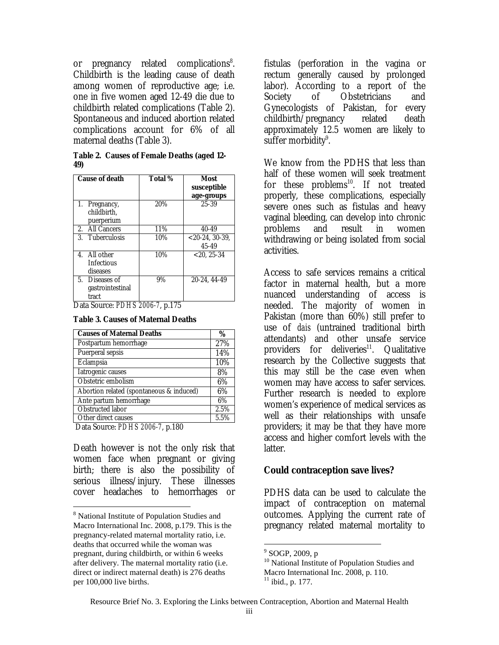or pregnancy related complications<sup>8</sup>. Childbirth is the leading cause of death among women of reproductive age; i.e. one in five women aged 12-49 die due to childbirth related complications (Table 2). Spontaneous and induced abortion related complications account for 6% of all maternal deaths (Table 3).

**Table 2. Causes of Female Deaths (aged 12- 49)** 

| <b>Cause of death</b>                         |                                 | Total % | Most<br>susceptible<br>age-groups |
|-----------------------------------------------|---------------------------------|---------|-----------------------------------|
| 1.<br>Pregnancy,<br>childbirth.               | puerperium                      | 20%     | 25-39                             |
| All Cancers<br>$2^{\circ}$                    |                                 | 11%     | $40 - 49$                         |
| 3. Tuberculosis                               |                                 | 10%     | $< 20-24$ , 30-39,<br>45-49       |
| 4. All other<br><b>Infectious</b><br>diseases |                                 | 10%     | $< 20.25 - 34$                    |
| 5.<br>tract                                   | Diseases of<br>gastrointestinal | 9%      | 20-24.44-49                       |

Data Source: *PDHS 2006-7*, p.175

| <b>Table 3. Causes of Maternal Deaths</b> |
|-------------------------------------------|
|                                           |

| 27%<br>14%<br>10% |
|-------------------|
|                   |
|                   |
|                   |
| 8%                |
| 6%                |
| 6%                |
| 6%                |
| 2.5%              |
| 5.5%              |
|                   |

Data Source: *PDHS 2006-7*, p.180

 $\overline{a}$ 

Death however is not the only risk that women face when pregnant or giving birth; there is also the possibility of serious illness/injury. These illnesses cover headaches to hemorrhages or

fistulas (perforation in the vagina or rectum generally caused by prolonged labor). According to a report of the Society of Obstetricians and Gynecologists of Pakistan, for every childbirth/pregnancy related death approximately 12.5 women are likely to suffer morbidity<sup>[9](#page-3-1)</sup>.

We know from the PDHS that less than half of these women will seek treatment for these  $problem<sup>10</sup>$ . If not treated properly, these complications, especially severe ones such as fistulas and heavy vaginal bleeding, can develop into chronic problems and result in women withdrawing or being isolated from social activities.

Access to safe services remains a critical factor in maternal health, but a more nuanced understanding of access is needed. The majority of women in Pakistan (more than 60%) still prefer to use of *dais* (untrained traditional birth attendants) and other unsafe service providers for deliveries<sup>11</sup>. Qualitative research by the Collective suggests that this may still be the case even when women may have access to safer services. Further research is needed to explore women's experience of medical services as well as their relationships with unsafe providers; it may be that they have more access and higher comfort levels with the latter.

### **Could contraception save lives?**

PDHS data can be used to calculate the impact of contraception on maternal outcomes. Applying the current rate of pregnancy related maternal mortality to

 $\overline{a}$ 

<span id="page-3-0"></span><sup>&</sup>lt;sup>8</sup> National Institute of Population Studies and Macro International Inc. 2008, p.179. This is the pregnancy-related maternal mortality ratio, i.e. deaths that occurred while the woman was pregnant, during childbirth, or within 6 weeks after delivery. The maternal mortality ratio (i.e. direct or indirect maternal death) is 276 deaths per 100,000 live births.

<span id="page-3-3"></span><span id="page-3-2"></span><span id="page-3-1"></span>

<sup>&</sup>lt;sup>9</sup> SOGP, 2009, p<br><sup>10</sup> National Institute of Population Studies and Macro International Inc. 2008, p. 110.<br> $\frac{11}{11}$  ibid., p. 177.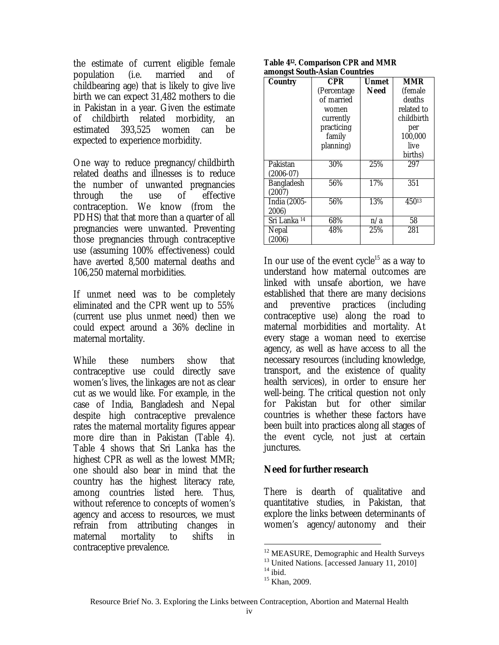the estimate of current eligible female population (i.e. married and of childbearing age) that is likely to give live birth we can expect 31,482 mothers to die in Pakistan in a year. Given the estimate of childbirth related morbidity, an estimated 393,525 women can be expected to experience morbidity.

One way to reduce pregnancy/childbirth related deaths and illnesses is to reduce the number of unwanted pregnancies through the use of effective contraception. We know (from the PDHS) that that more than a quarter of all pregnancies were unwanted. Preventing those pregnancies through contraceptive use (assuming 100% effectiveness) could have averted 8,500 maternal deaths and 106,250 maternal morbidities.

If unmet need was to be completely eliminated and the CPR went up to 55% (current use plus unmet need) then we could expect around a 36% decline in maternal mortality.

While these numbers show that contraceptive use could directly save women's lives, the linkages are not as clear cut as we would like. For example, in the case of India, Bangladesh and Nepal despite high contraceptive prevalence rates the maternal mortality figures appear more dire than in Pakistan (Table 4). Table 4 shows that Sri Lanka has the highest CPR as well as the lowest MMR; one should also bear in mind that the country has the highest literacy rate, among countries listed here. Thus, without reference to concepts of women's agency and access to resources, we must refrain from attributing changes in maternal mortality to shifts in contraceptive prevalence.

| Table 4 <sup>12</sup> . Comparison CPR and MMR |  |
|------------------------------------------------|--|
| amongst South-Asian Countries                  |  |

| <b>Country</b>          | <b>CPR</b>   | Unmet       | <b>MMR</b> |
|-------------------------|--------------|-------------|------------|
|                         | (Percentage) | <b>Need</b> | (female)   |
|                         | of married   |             | deaths     |
|                         | women        |             | related to |
|                         | currently    |             | childbirth |
|                         | practicing   |             | per        |
|                         | family       |             | 100,000    |
|                         | planning)    |             | live       |
|                         |              |             | births)    |
| Pakistan                | 30%          | 25%         | 297        |
| $(2006-07)$             |              |             |            |
| <b>Bangladesh</b>       | 56%          | 17%         | 351        |
| (2007)                  |              |             |            |
| India (2005-            | 56%          | 13%         | $450^{13}$ |
| 2006)                   |              |             |            |
| Sri Lanka <sup>14</sup> | 68%          | n/a         | 58         |
| Nepal                   | 48%          | 25%         | 281        |
| (2006)                  |              |             |            |

In our use of the event cycle<sup>15</sup> as a way to understand how maternal outcomes are linked with unsafe abortion, we have established that there are many decisions and preventive practices (including contraceptive use) along the road to maternal morbidities and mortality. At every stage a woman need to exercise agency, as well as have access to all the necessary resources (including knowledge, transport, and the existence of quality health services), in order to ensure her well-being. The critical question not only for Pakistan but for other similar countries is whether these factors have been built into practices along all stages of the event cycle, not just at certain junctures.

# **Need for further research**

There is dearth of qualitative and quantitative studies, in Pakistan, that explore the links between determinants of women's agency/autonomy and their

<u>.</u>

<span id="page-4-0"></span><sup>&</sup>lt;sup>12</sup> MEASURE, Demographic and Health Surveys<br><sup>13</sup> United Nations. [accessed January 11, 2010]<br><sup>14</sup> ibid. <sup>15</sup> Khan. 2009.

<span id="page-4-2"></span><span id="page-4-1"></span>

<span id="page-4-3"></span>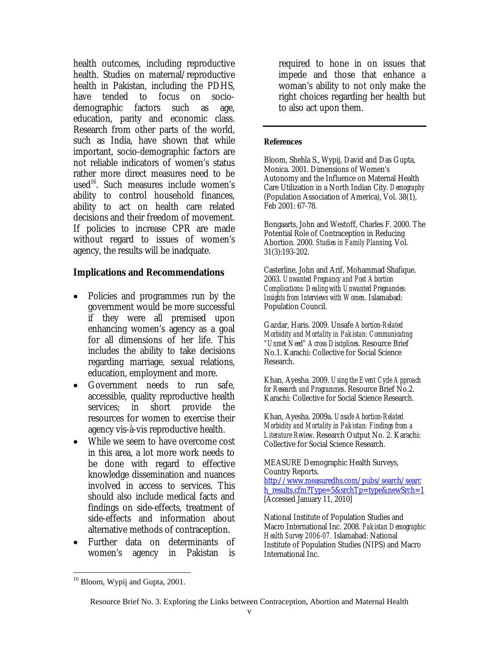health outcomes, including reproductive health. Studies on maternal/reproductive health in Pakistan, including the PDHS, have tended to focus on sociodemographic factors such as age, education, parity and economic class. Research from other parts of the world, such as India, have shown that while important, socio-demographic factors are not reliable indicators of women's status rather more direct measures need to be used<sup>16</sup>. Such measures include women's ability to control household finances, ability to act on health care related decisions and their freedom of movement. If policies to increase CPR are made without regard to issues of women's agency, the results will be inadquate.

## **Implications and Recommendations**

- Policies and programmes run by the government would be more successful if they were all premised upon enhancing women's agency as a goal for all dimensions of her life. This includes the ability to take decisions regarding marriage, sexual relations, education, employment and more.
- Government needs to run safe, accessible, quality reproductive health services; in short provide the resources for women to exercise their agency vis-à-vis reproductive health.
- While we seem to have overcome cost in this area, a lot more work needs to be done with regard to effective knowledge dissemination and nuances involved in access to services. This should also include medical facts and findings on side-effects, treatment of side-effects and information about alternative methods of contraception.
- Further data on determinants of women's agency in Pakistan is

required to hone in on issues that impede and those that enhance a woman's ability to not only make the right choices regarding her health but to also act upon them.

#### **References**

Bloom, Shehla S., Wypij, David and Das Gupta, Monica. 2001. Dimensions of Women's Autonomy and the Influence on Maternal Health Care Utilization in a North Indian City. *Demography* (Population Association of America), Vol. 38(1), Feb 2001: 67-78.

Bongaarts, John and Westoff, Charles F. 2000. The Potential Role of Contraception in Reducing Abortion. 2000. *Studies in Family Planning*, Vol. 31(3):193-202.

Casterline, John and Arif, Mohammad Shafique. 2003. *Unwanted Pregnancy and Post Abortion Complications: Dealing with Unwanted Pregnancies: Insights from Interviews with Women*. Islamabad: Population Council.

Gazdar, Haris. 2009. Unsafe *Abortion-Related Morbidity and Mortality in Pakistan: Communicating "Unmet Need" Across Disciplines*. Resource Brief No.1. Karachi: Collective for Social Science Research.

Khan, Ayesha*.* 2009. *Using the Event Cycle Approach for Research and Programmes*. Resource Brief No.2. Karachi: Collective for Social Science Research.

Khan, Ayesha. 2009a. *Unsafe Abortion-Related Morbidity and Mortality in Pakistan: Findings from a Literature Review*. Research Output No. 2. Karachi: Collective for Social Science Research.

MEASURE Demographic Health Surveys, Country Reports.

[http://www.measuredhs.com/pubs/search/searc](http://www.measuredhs.com/pubs/search/search_results.cfm?Type=5&srchTp=type&newSrch=1) [h\\_results.cfm?Type=5&srchTp=type&newSrch=1](http://www.measuredhs.com/pubs/search/search_results.cfm?Type=5&srchTp=type&newSrch=1) [Accessed January 11, 2010]

National Institute of Population Studies and Macro International Inc. 2008. *Pakistan Demographic Health Survey 2006-07.* Islamabad: National Institute of Population Studies (NIPS) and Macro International Inc.

<u>.</u>

<span id="page-5-0"></span><sup>&</sup>lt;sup>16</sup> Bloom, Wypij and Gupta, 2001.